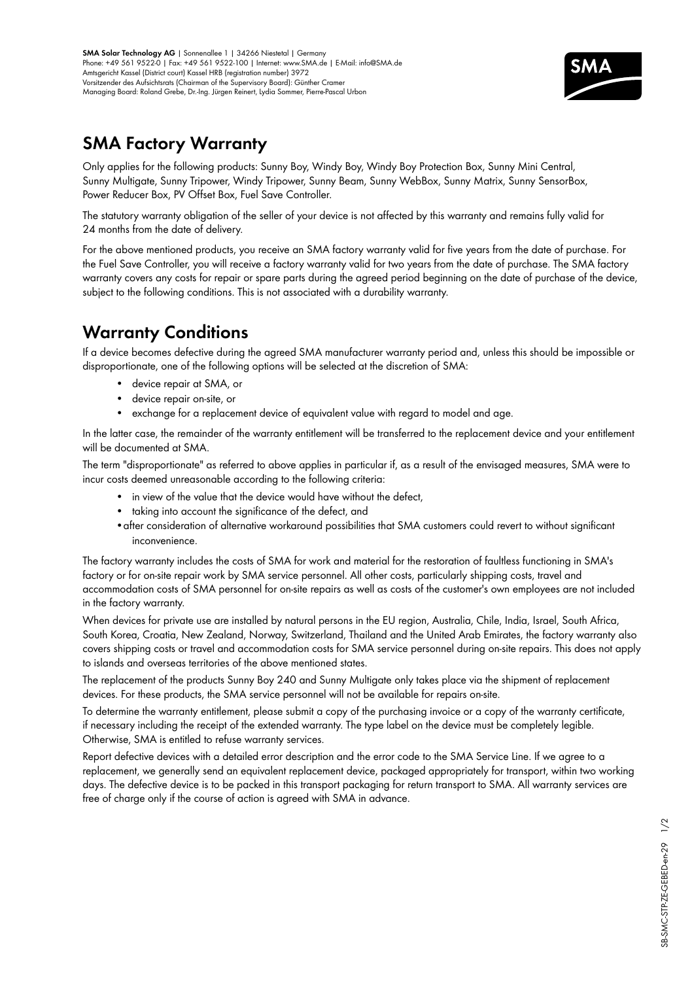

## **[SMA](http://www.infiniteenergy.com.au/manufacturers/sma) Factory Warranty**

Only applies for the following products: Sunny Boy, Windy Boy, Windy Boy Protection Box, Sunny Mini Central, Sunny Multigate, Sunny Tripower, Windy Tripower, Sunny Beam, Sunny WebBox, Sunny Matrix, Sunny SensorBox, Power Reducer Box, PV Offset Box, Fuel Save Controller.

The statutory warranty obligation of the seller of your device is not affected by this warranty and remains fully valid for 24 months from the date of delivery.

For the above mentioned products, you receive an SMA factory warranty valid for five years from the date of purchase. For the Fuel Save Controller, you will receive a factory warranty valid for two years from the date of purchase. The SMA factory warranty covers any costs for repair or spare parts during the agreed period beginning on the date of purchase of the device, subject to the following conditions. This is not associated with a durability warranty.

# **Warranty Conditions**

If a device becomes defective during the agreed SMA manufacturer warranty period and, unless this should be impossible or disproportionate, one of the following options will be selected at the discretion of SMA:

- • device repair at SMA, or
- device repair on-site, or
- exchange for a replacement device of equivalent value with regard to model and age.

In the latter case, the remainder of the warranty entitlement will be transferred to the replacement device and your entitlement will be documented at SMA.

The term "disproportionate" as referred to above applies in particular if, as a result of the envisaged measures, SMA were to incur costs deemed unreasonable according to the following criteria:

- in view of the value that the device would have without the defect,
- taking into account the significance of the defect, and
- •after consideration of alternative workaround possibilities that SMA customers could revert to without significant inconvenience.

The factory warranty includes the costs of SMA for work and material for the restoration of faultless functioning in SMA's factory or for on-site repair work by SMA service personnel. All other costs, particularly shipping costs, travel and accommodation costs of SMA personnel for on-site repairs as well as costs of the customer's own employees are not included in the factory warranty.

When devices for private use are installed by natural persons in the EU region, Australia, Chile, India, Israel, South Africa, South Korea, Croatia, New Zealand, Norway, Switzerland, Thailand and the United Arab Emirates, the factory warranty also covers shipping costs or travel and accommodation costs for SMA service personnel during on-site repairs. This does not apply to islands and overseas territories of the above mentioned states.

The replacement of the products Sunny Boy 240 and Sunny Multigate only takes place via the shipment of replacement devices. For these products, the SMA service personnel will not be available for repairs on-site.

To determine the warranty entitlement, please submit a copy of the purchasing invoice or a copy of the warranty certificate, if necessary including the receipt of the extended warranty. The type label on the device must be completely legible. Otherwise, SMA is entitled to refuse warranty services.

Report defective devices with a detailed error description and the error code to the SMA Service Line. If we agree to a replacement, we generally send an equivalent replacement device, packaged appropriately for transport, within two working days. The defective device is to be packed in this transport packaging for return transport to SMA. All [warranty](http://www.infiniteenergy.com.au) services are free of charge only if the course of action is agreed with SMA in advance.